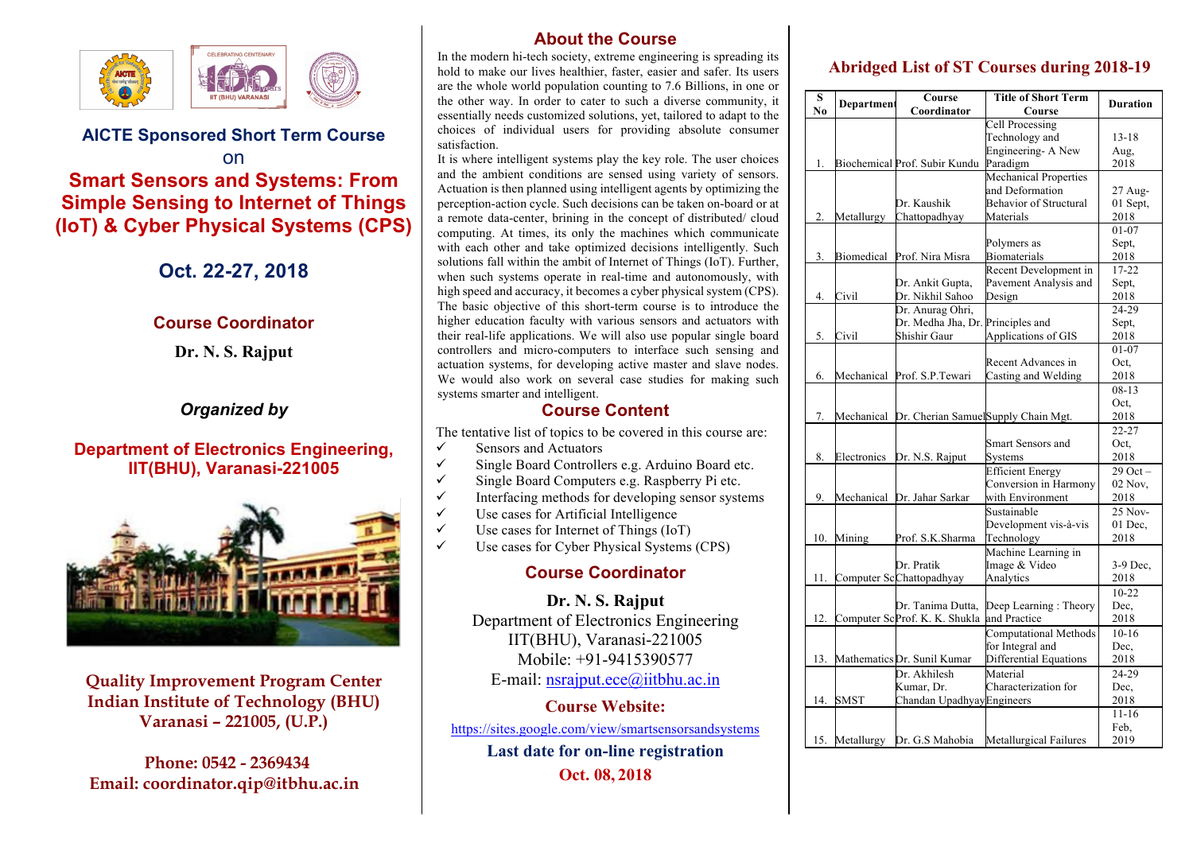

#### **AICTE Sponsored Short Term Course**  on

# **Smart Sensors and Systems: From Simple Sensing to Internet of Things (IoT) & Cyber Physical Systems (CPS)**

# **Oct. 22-27, 2018**

#### **Course Coordinator**

**Dr. N. S. Rajput**

## *Organized by*

### **Department of Electronics Engineering, IIT(BHU), Varanasi-221005**



**Quality Improvement Program Center Indian Institute of Technology (BHU) Varanasi – 221005, (U.P.)**

 **Phone: 0542 - 2369434 Email: coordinator.qip@itbhu.ac.in**

# **About the Course**

In the modern hi-tech society, extreme engineering is spreading its hold to make our lives healthier, faster, easier and safer. Its users are the whole world population counting to 7.6 Billions, in one or the other way. In order to cater to such a diverse community, it essentially needs customized solutions, yet, tailored to adapt to the choices of individual users for providing absolute consumer satisfaction.

It is where intelligent systems play the key role. The user choices and the ambient conditions are sensed using variety of sensors. Actuation is then planned using intelligent agents by optimizing the perception-action cycle. Such decisions can be taken on-board or at a remote data-center, brining in the concept of distributed/ cloud computing. At times, its only the machines which communicate with each other and take optimized decisions intelligently. Such solutions fall within the ambit of Internet of Things (IoT). Further, when such systems operate in real-time and autonomously, with high speed and accuracy, it becomes a cyber physical system (CPS). The basic objective of this short-term course is to introduce the higher education faculty with various sensors and actuators with their real-life applications. We will also use popular single board controllers and micro-computers to interface such sensing and actuation systems, for developing active master and slave nodes. We would also work on several case studies for making such systems smarter and intelligent.

#### **Course Content**

The tentative list of topics to be covered in this course are:

- $\checkmark$  Sensors and Actuators
- $\checkmark$  Single Board Controllers e.g. Arduino Board etc.
- $\checkmark$  Single Board Computers e.g. Raspberry Pi etc.
- $\checkmark$  Interfacing methods for developing sensor systems
- $\checkmark$  Use cases for Artificial Intelligence
- $\checkmark$  Use cases for Internet of Things (IoT)
- $\checkmark$  Use cases for Cyber Physical Systems (CPS)

### **Course Coordinator**

**Dr. N. S. Rajput** Department of Electronics Engineering IIT(BHU), Varanasi-221005 Mobile: +91-9415390577 E-mail: nsrajput.ece@iitbhu.ac.in

#### **Course Website:**

https://sites.google.com/view/smartsensorsandsystems

**Last date for on-line registration Oct. 08, 2018**

## **Abridged List of ST Courses during 2018-19**

| S   | Departmen         | Course                                          | <b>Title of Short Term</b>    | <b>Duration</b> |
|-----|-------------------|-------------------------------------------------|-------------------------------|-----------------|
| No  |                   | Coordinator                                     | Course                        |                 |
|     |                   |                                                 | <b>Cell Processing</b>        |                 |
|     |                   |                                                 | Technology and                | $13 - 18$       |
|     |                   |                                                 | Engineering- A New            | Aug,            |
| 1.  |                   | Biochemical Prof. Subir Kundu                   | Paradigm                      | 2018            |
|     |                   |                                                 | Mechanical Properties         |                 |
|     |                   |                                                 | and Deformation               | $27$ Aug-       |
|     |                   | Dr. Kaushik                                     | <b>Behavior of Structural</b> | 01 Sept,        |
| 2.  | Metallurgy        | Chattopadhyay                                   | Materials                     | 2018            |
|     |                   |                                                 |                               | $01 - 07$       |
|     |                   |                                                 | Polymers as                   | Sept,           |
| 3.  | <b>Biomedical</b> | Prof. Nira Misra                                | <b>Biomaterials</b>           | 2018            |
|     |                   |                                                 | Recent Development in         | $17 - 22$       |
|     |                   | Dr. Ankit Gupta,                                | Pavement Analysis and         | Sept,           |
| 4.  | Civil             | Dr. Nikhil Sahoo                                | Design                        | 2018            |
|     |                   | Dr. Anurag Ohri,                                |                               | 24-29           |
|     |                   | Dr. Medha Jha, Dr. Principles and               |                               | Sept,           |
| 5.  | Civil             | Shishir Gaur                                    | Applications of GIS           | 2018            |
|     |                   |                                                 |                               | $01 - 07$       |
|     |                   |                                                 | Recent Advances in            | Oct,            |
| 6.  | Mechanical        | Prof. S.P.Tewari                                | Casting and Welding           | 2018            |
|     |                   |                                                 |                               | $08-13$         |
|     |                   |                                                 |                               | Oct.            |
| 7.  |                   | Mechanical Dr. Cherian Samuel Supply Chain Mgt. |                               | 2018            |
|     |                   |                                                 |                               | $22 - 27$       |
|     |                   |                                                 | Smart Sensors and             | Oct.            |
| 8.  | Electronics       | Dr. N.S. Rajput                                 | Systems                       | 2018            |
|     |                   |                                                 | <b>Efficient Energy</b>       | $29$ Oct $-$    |
|     |                   |                                                 | Conversion in Harmony         | 02 Nov.         |
| 9.  | Mechanical        | Dr. Jahar Sarkar                                | with Environment              | 2018            |
|     |                   |                                                 | Sustainable                   | 25 Nov-         |
|     |                   |                                                 | Development vis-à-vis         | 01 Dec,         |
| 10. | Mining            | Prof. S.K.Sharma                                | Technology                    | 2018            |
|     |                   |                                                 | Machine Learning in           |                 |
|     |                   | Dr. Pratik                                      | Image & Video                 | 3-9 Dec,        |
| 11. |                   | Computer ScChattopadhyay                        | Analytics                     | 2018            |
|     |                   |                                                 |                               | $10 - 22$       |
|     |                   | Dr. Tanima Dutta,                               | Deep Learning: Theory         | Dec.            |
| 12. |                   | Computer ScProf. K. K. Shukla                   | and Practice                  | 2018            |
|     |                   |                                                 | Computational Methods         | $10-16$         |
|     |                   |                                                 | for Integral and              |                 |
| 13. |                   | Mathematics Dr. Sunil Kumar                     |                               | Dec,            |
|     |                   |                                                 | Differential Equations        | 2018            |
|     |                   | Dr. Akhilesh                                    | Material                      | 24-29           |
|     |                   | Kumar, Dr.                                      | Characterization for          | Dec,            |
| 14. | SMST              | Chandan Upadhyay Engineers                      |                               | 2018            |
|     |                   |                                                 |                               | $11 - 16$       |
|     |                   |                                                 |                               | Feb.            |
| 15. | Metallurgy        | Dr. G.S Mahobia                                 | Metallurgical Failures        | 2019            |